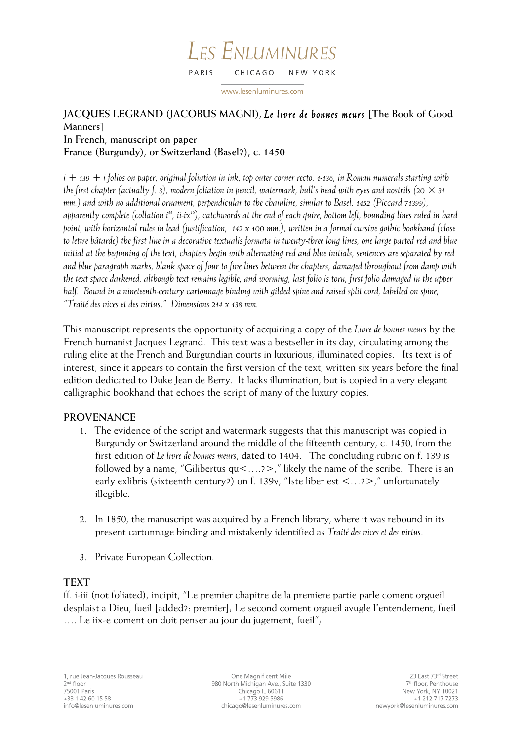#### **LES ENLUMINURES** PARIS CHICAGO NEW YORK

www.lesenluminures.com

# **JACQUES LEGRAND (JACOBUS MAGNI),** *Le livre de bonnes meurs* **[The Book of Good Manners]**

## **In French, manuscript on paper**

**France (Burgundy), or Switzerland (Basel?), c. 1450** 

*i + 139 + i folios on paper, original foliation in ink, top outer corner recto, 1-136, in Roman numerals starting with the first chapter (actually f. 3), modern foliation in pencil, watermark, bull's head with eyes and nostrils (20 × 31 mm.) and with no additional ornament, perpendicular to the chainline, similar to Basel, 1452 (Piccard 71399), apparently complete (collation i11, ii-ix16), catchwords at the end of each quire, bottom left, bounding lines ruled in hard point, with horizontal rules in lead (justification, 142 x 100 mm.), written in a formal cursive gothic bookhand (close to lettre bâtarde) the first line in a decorative textualis formata in twenty-three long lines, one large parted red and blue initial at the beginning of the text, chapters begin with alternating red and blue initials, sentences are separated by red and blue paragraph marks, blank space of four to five lines between the chapters, damaged throughout from damp with the text space darkened, although text remains legible, and worming, last folio is torn, first folio damaged in the upper half. Bound in a nineteenth-century cartonnage binding with gilded spine and raised split cord, labelled on spine, "Traité des vices et des virtus*.*" Dimensions 214 x 138 mm.*

This manuscript represents the opportunity of acquiring a copy of the *Livre de bonnes meurs* by the French humanist Jacques Legrand. This text was a bestseller in its day, circulating among the ruling elite at the French and Burgundian courts in luxurious, illuminated copies. Its text is of interest, since it appears to contain the first version of the text, written six years before the final edition dedicated to Duke Jean de Berry. It lacks illumination, but is copied in a very elegant calligraphic bookhand that echoes the script of many of the luxury copies.

# **PROVENANCE**

- 1. The evidence of the script and watermark suggests that this manuscript was copied in Burgundy or Switzerland around the middle of the fifteenth century, c. 1450, from the first edition of *Le livre de bonnes meurs*, dated to 1404. The concluding rubric on f. 139 is followed by a name, "Gilibertus  $qu < ...?$ ," likely the name of the scribe. There is an early exlibris (sixteenth century?) on f. 139v, "Iste liber est <…?>," unfortunately illegible.
- 2. In 1850, the manuscript was acquired by a French library, where it was rebound in its present cartonnage binding and mistakenly identified as *Traité des vices et des virtus*.
- 3. Private European Collection.

# **TEXT**

ff. i-iii (not foliated), incipit, "Le premier chapitre de la premiere partie parle coment orgueil desplaist a Dieu, fueil [added?: premier]; Le second coment orgueil avugle l'entendement, fueil …. Le iix-e coment on doit penser au jour du jugement, fueil";

One Magnificent Mile 980 North Michigan Ave., Suite 1330 Chicago IL 60611 +1 773 929 5986 chicago@lesenluminures.com

23 East 73rd Street 7<sup>th</sup> floor, Penthouse New York, NY 10021 +1 212 717 7273 newyork@lesenluminures.com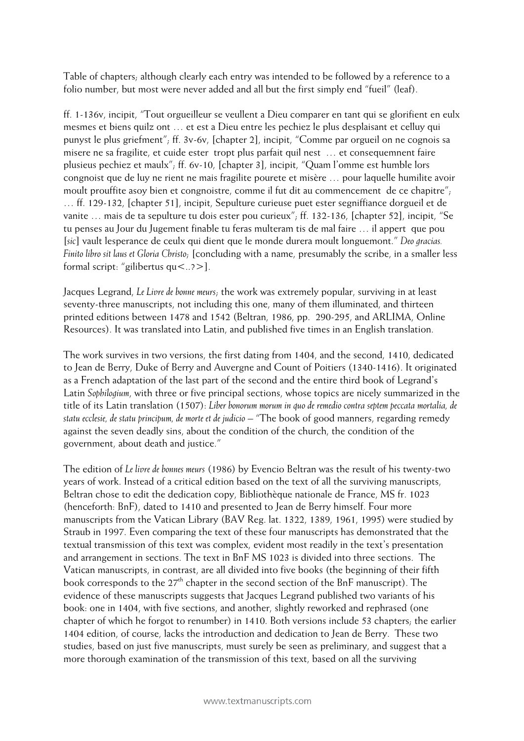Table of chapters; although clearly each entry was intended to be followed by a reference to a folio number, but most were never added and all but the first simply end "fueil" (leaf).

ff. 1-136v, incipit, "Tout orgueilleur se veullent a Dieu comparer en tant qui se glorifient en eulx mesmes et biens quilz ont … et est a Dieu entre les pechiez le plus desplaisant et celluy qui punyst le plus griefment"; ff. 3v-6v, [chapter 2], incipit, "Comme par orgueil on ne cognois sa misere ne sa fragilite, et cuide ester tropt plus parfait quil nest … et consequemnent faire plusieus pechiez et maulx"; ff. 6v-10, [chapter 3], incipit, "Quam l'omme est humble lors congnoist que de luy ne rient ne mais fragilite pourete et misère … pour laquelle humilite avoir moult prouffite asoy bien et congnoistre, comme il fut dit au commencement de ce chapitre"; … ff. 129-132, [chapter 51], incipit, Sepulture curieuse puet ester segniffiance dorgueil et de vanite … mais de ta sepulture tu dois ester pou curieux"; ff. 132-136, [chapter 52], incipit, "Se tu penses au Jour du Jugement finable tu feras multeram tis de mal faire … il appert que pou [*sic*] vault lesperance de ceulx qui dient que le monde durera moult longuemont." *Deo gracias. Finito libro sit laus et Gloria Christo*; [concluding with a name, presumably the scribe, in a smaller less formal script: "gilibertus qu<..?>].

Jacques Legrand, *Le Livre de bonne meurs*; the work was extremely popular, surviving in at least seventy-three manuscripts, not including this one, many of them illuminated, and thirteen printed editions between 1478 and 1542 (Beltran, 1986, pp. 290-295, and ARLIMA, Online Resources). It was translated into Latin, and published five times in an English translation.

The work survives in two versions, the first dating from 1404, and the second, 1410, dedicated to Jean de Berry, Duke of Berry and Auvergne and Count of Poitiers (1340-1416). It originated as a French adaptation of the last part of the second and the entire third book of Legrand's Latin *Sophilogium*, with three or five principal sections, whose topics are nicely summarized in the title of its Latin translation (1507): *Liber bonorum morum in quo de remedio contra septem peccata mortalia, de statu ecclesie, de statu principum, de morte et de judicio* – "The book of good manners, regarding remedy against the seven deadly sins, about the condition of the church, the condition of the government, about death and justice."

The edition of *Le livre de bonnes meurs* (1986) by Evencio Beltran was the result of his twenty-two years of work. Instead of a critical edition based on the text of all the surviving manuscripts, Beltran chose to edit the dedication copy, Bibliothèque nationale de France, MS fr. 1023 (henceforth: BnF), dated to 1410 and presented to Jean de Berry himself. Four more manuscripts from the Vatican Library (BAV Reg. lat. 1322, 1389, 1961, 1995) were studied by Straub in 1997. Even comparing the text of these four manuscripts has demonstrated that the textual transmission of this text was complex, evident most readily in the text's presentation and arrangement in sections. The text in BnF MS 1023 is divided into three sections. The Vatican manuscripts, in contrast, are all divided into five books (the beginning of their fifth book corresponds to the  $27<sup>th</sup>$  chapter in the second section of the BnF manuscript). The evidence of these manuscripts suggests that Jacques Legrand published two variants of his book: one in 1404, with five sections, and another, slightly reworked and rephrased (one chapter of which he forgot to renumber) in 1410. Both versions include 53 chapters; the earlier 1404 edition, of course, lacks the introduction and dedication to Jean de Berry. These two studies, based on just five manuscripts, must surely be seen as preliminary, and suggest that a more thorough examination of the transmission of this text, based on all the surviving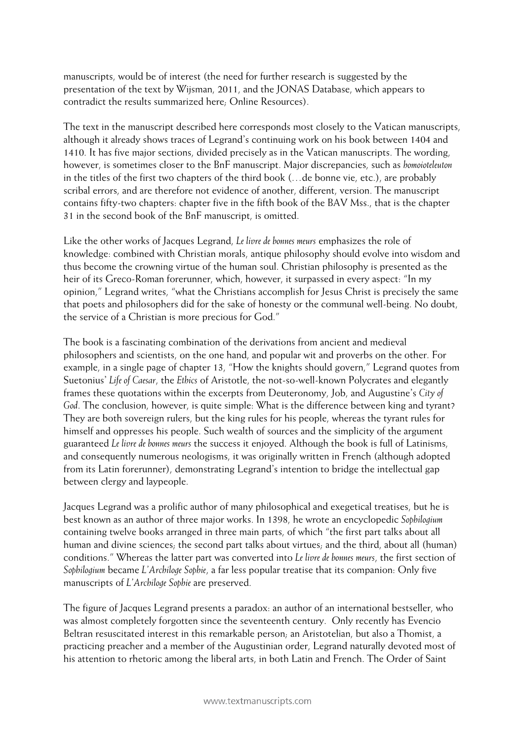manuscripts, would be of interest (the need for further research is suggested by the presentation of the text by Wijsman, 2011, and the JONAS Database, which appears to contradict the results summarized here; Online Resources).

The text in the manuscript described here corresponds most closely to the Vatican manuscripts, although it already shows traces of Legrand's continuing work on his book between 1404 and 1410. It has five major sections, divided precisely as in the Vatican manuscripts. The wording, however, is sometimes closer to the BnF manuscript. Major discrepancies, such as *homoioteleuton*  in the titles of the first two chapters of the third book (…de bonne vie, etc.), are probably scribal errors, and are therefore not evidence of another, different, version. The manuscript contains fifty-two chapters: chapter five in the fifth book of the BAV Mss., that is the chapter 31 in the second book of the BnF manuscript, is omitted.

Like the other works of Jacques Legrand, *Le livre de bonnes meurs* emphasizes the role of knowledge: combined with Christian morals, antique philosophy should evolve into wisdom and thus become the crowning virtue of the human soul. Christian philosophy is presented as the heir of its Greco-Roman forerunner, which, however, it surpassed in every aspect: "In my opinion," Legrand writes, "what the Christians accomplish for Jesus Christ is precisely the same that poets and philosophers did for the sake of honesty or the communal well-being. No doubt, the service of a Christian is more precious for God."

The book is a fascinating combination of the derivations from ancient and medieval philosophers and scientists, on the one hand, and popular wit and proverbs on the other. For example, in a single page of chapter 13, "How the knights should govern," Legrand quotes from Suetonius' *Life of Caesar*, the *Ethics* of Aristotle, the not-so-well-known Polycrates and elegantly frames these quotations within the excerpts from Deuteronomy, Job, and Augustine's *City of God*. The conclusion, however, is quite simple: What is the difference between king and tyrant? They are both sovereign rulers, but the king rules for his people, whereas the tyrant rules for himself and oppresses his people. Such wealth of sources and the simplicity of the argument guaranteed *Le livre de bonnes meurs* the success it enjoyed. Although the book is full of Latinisms, and consequently numerous neologisms, it was originally written in French (although adopted from its Latin forerunner), demonstrating Legrand's intention to bridge the intellectual gap between clergy and laypeople.

Jacques Legrand was a prolific author of many philosophical and exegetical treatises, but he is best known as an author of three major works. In 1398, he wrote an encyclopedic *Sophilogium* containing twelve books arranged in three main parts, of which "the first part talks about all human and divine sciences; the second part talks about virtues; and the third, about all (human) conditions." Whereas the latter part was converted into *Le livre de bonnes meurs*, the first section of *Sophilogium* became *L'Archiloge Sophie*, a far less popular treatise that its companion: Only five manuscripts of *L'Archiloge Sophie* are preserved.

The figure of Jacques Legrand presents a paradox: an author of an international bestseller, who was almost completely forgotten since the seventeenth century. Only recently has Evencio Beltran resuscitated interest in this remarkable person; an Aristotelian, but also a Thomist, a practicing preacher and a member of the Augustinian order, Legrand naturally devoted most of his attention to rhetoric among the liberal arts, in both Latin and French. The Order of Saint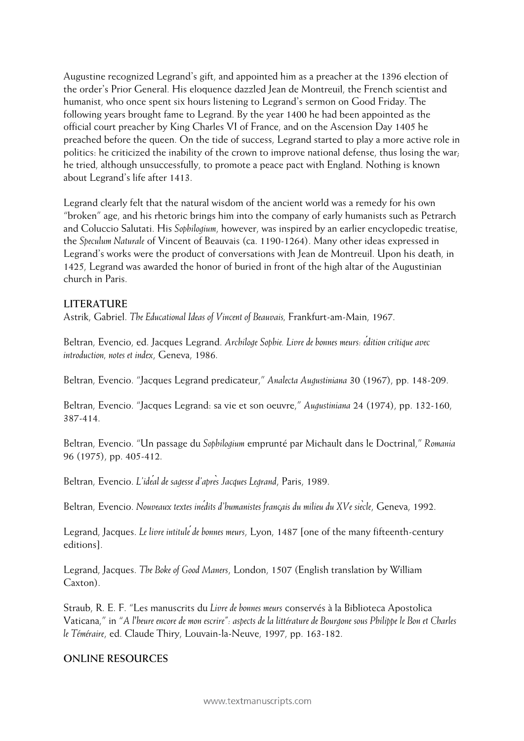Augustine recognized Legrand's gift, and appointed him as a preacher at the 1396 election of the order's Prior General. His eloquence dazzled Jean de Montreuil, the French scientist and humanist, who once spent six hours listening to Legrand's sermon on Good Friday. The following years brought fame to Legrand. By the year 1400 he had been appointed as the official court preacher by King Charles VI of France, and on the Ascension Day 1405 he preached before the queen. On the tide of success, Legrand started to play a more active role in politics: he criticized the inability of the crown to improve national defense, thus losing the war; he tried, although unsuccessfully, to promote a peace pact with England. Nothing is known about Legrand's life after 1413.

Legrand clearly felt that the natural wisdom of the ancient world was a remedy for his own "broken" age, and his rhetoric brings him into the company of early humanists such as Petrarch and Coluccio Salutati. His *Sophilogium*, however, was inspired by an earlier encyclopedic treatise, the *Speculum Naturale* of Vincent of Beauvais (ca. 1190-1264). Many other ideas expressed in Legrand's works were the product of conversations with Jean de Montreuil. Upon his death, in 1425, Legrand was awarded the honor of buried in front of the high altar of the Augustinian church in Paris.

### **LITERATURE**

Astrik, Gabriel. *The Educational Ideas of Vincent of Beauvais,* Frankfurt-am-Main, 1967.

Beltran, Evencio, ed. Jacques Legrand. *Archiloge Sophie. Livre de bonnes meurs: édition critique avec introduction, notes et index*, Geneva, 1986.

Beltran, Evencio. "Jacques Legrand predicateur," *Analecta Augustiniana* 30 (1967), pp. 148-209.

Beltran, Evencio. "Jacques Legrand: sa vie et son oeuvre," *Augustiniana* 24 (1974), pp. 132-160, 387-414.

Beltran, Evencio. "Un passage du *Sophilogium* emprunté par Michault dans le Doctrinal," *Romania* 96 (1975), pp. 405-412.

Beltran, Evencio. *L'idéal de sagesse d'après Jacques Legrand*, Paris, 1989.

Beltran, Evencio. *Nouveaux textes inédits d'humanistes français du milieu du XVe siècle*, Geneva, 1992.

Legrand, Jacques. *Le livre intituléde bonnes meurs*, Lyon, 1487 [one of the many fifteenth-century editions].

Legrand, Jacques. *The Boke of Good Maners*, London, 1507 (English translation by William Caxton).

Straub, R. E. F. "Les manuscrits du *Livre de bonnes meurs* conservés à la Biblioteca Apostolica Vaticana," in "*A l'heure encore de mon escrire": aspects de la littérature de Bourgone sous Philippe le Bon et Charles le Téméraire*, ed. Claude Thiry, Louvain-la-Neuve, 1997, pp. 163-182.

### **ONLINE RESOURCES**